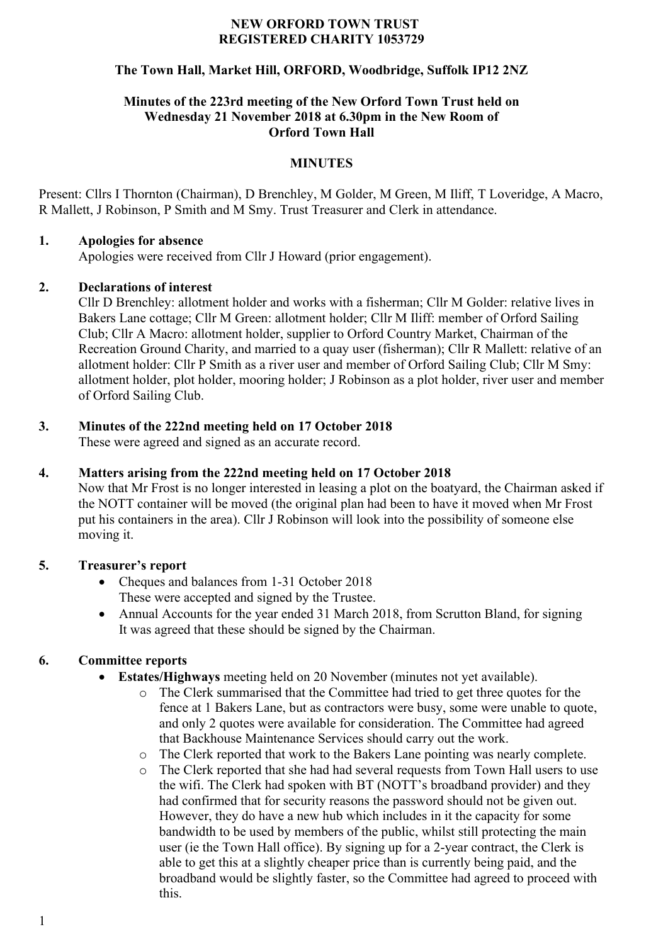### **NEW ORFORD TOWN TRUST REGISTERED CHARITY 1053729**

# **The Town Hall, Market Hill, ORFORD, Woodbridge, Suffolk IP12 2NZ**

## **Minutes of the 223rd meeting of the New Orford Town Trust held on Wednesday 21 November 2018 at 6.30pm in the New Room of Orford Town Hall**

## **MINUTES**

Present: Cllrs I Thornton (Chairman), D Brenchley, M Golder, M Green, M Iliff, T Loveridge, A Macro, R Mallett, J Robinson, P Smith and M Smy. Trust Treasurer and Clerk in attendance.

### **1. Apologies for absence**

Apologies were received from Cllr J Howard (prior engagement).

## **2. Declarations of interest**

Cllr D Brenchley: allotment holder and works with a fisherman; Cllr M Golder: relative lives in Bakers Lane cottage; Cllr M Green: allotment holder; Cllr M Iliff: member of Orford Sailing Club; Cllr A Macro: allotment holder, supplier to Orford Country Market, Chairman of the Recreation Ground Charity, and married to a quay user (fisherman); Cllr R Mallett: relative of an allotment holder: Cllr P Smith as a river user and member of Orford Sailing Club; Cllr M Smy: allotment holder, plot holder, mooring holder; J Robinson as a plot holder, river user and member of Orford Sailing Club.

# **3. Minutes of the 222nd meeting held on 17 October 2018**

These were agreed and signed as an accurate record.

## **4. Matters arising from the 222nd meeting held on 17 October 2018**

Now that Mr Frost is no longer interested in leasing a plot on the boatyard, the Chairman asked if the NOTT container will be moved (the original plan had been to have it moved when Mr Frost put his containers in the area). Cllr J Robinson will look into the possibility of someone else moving it.

# **5. Treasurer's report**

- Cheques and balances from 1-31 October 2018 These were accepted and signed by the Trustee.
- Annual Accounts for the year ended 31 March 2018, from Scrutton Bland, for signing It was agreed that these should be signed by the Chairman.

# **6. Committee reports**

- **Estates/Highways** meeting held on 20 November (minutes not yet available).
	- o The Clerk summarised that the Committee had tried to get three quotes for the fence at 1 Bakers Lane, but as contractors were busy, some were unable to quote, and only 2 quotes were available for consideration. The Committee had agreed that Backhouse Maintenance Services should carry out the work.
	- o The Clerk reported that work to the Bakers Lane pointing was nearly complete.
	- o The Clerk reported that she had had several requests from Town Hall users to use the wifi. The Clerk had spoken with BT (NOTT's broadband provider) and they had confirmed that for security reasons the password should not be given out. However, they do have a new hub which includes in it the capacity for some bandwidth to be used by members of the public, whilst still protecting the main user (ie the Town Hall office). By signing up for a 2-year contract, the Clerk is able to get this at a slightly cheaper price than is currently being paid, and the broadband would be slightly faster, so the Committee had agreed to proceed with this.